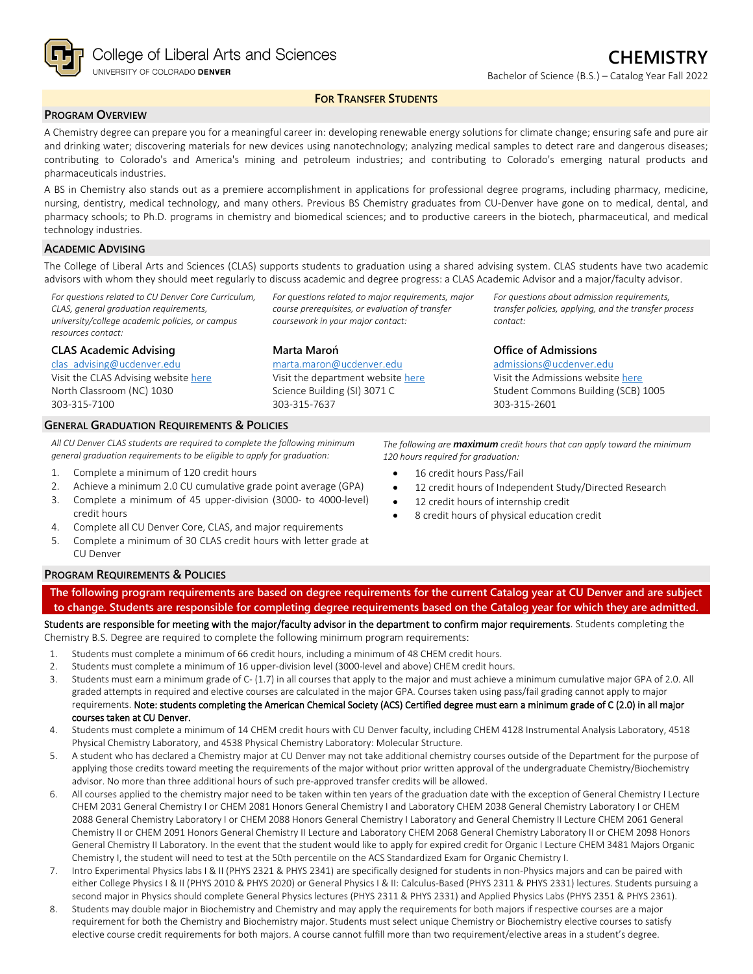

### **FOR TRANSFER STUDENTS**

# **PROGRAM OVERVIEW**

A Chemistry degree can prepare you for a meaningful career in: developing renewable energy solutions for climate change; ensuring safe and pure air and drinking water; discovering materials for new devices using nanotechnology; analyzing medical samples to detect rare and dangerous diseases; contributing to Colorado's and America's mining and petroleum industries; and contributing to Colorado's emerging natural products and pharmaceuticals industries.

A BS in Chemistry also stands out as a premiere accomplishment in applications for professional degree programs, including pharmacy, medicine, nursing, dentistry, medical technology, and many others. Previous BS Chemistry graduates from CU-Denver have gone on to medical, dental, and pharmacy schools; to Ph.D. programs in chemistry and biomedical sciences; and to productive careers in the biotech, pharmaceutical, and medical technology industries.

#### **ACADEMIC ADVISING**

The College of Liberal Arts and Sciences (CLAS) supports students to graduation using a shared advising system. CLAS students have two academic advisors with whom they should meet regularly to discuss academic and degree progress: a CLAS Academic Advisor and a major/faculty advisor.

*For questions related to CU Denver Core Curriculum, CLAS, general graduation requirements, university/college academic policies, or campus resources contact:*

#### **CLAS Academic Advising**

[clas\\_advising@ucdenver.edu](mailto:clas_advising@ucdenver.edu) Visit the CLAS Advising websit[e here](https://clas.ucdenver.edu/advising/) North Classroom (NC) 1030

## 303-315-7100

#### **GENERAL GRADUATION REQUIREMENTS & POLICIES**

*All CU Denver CLAS students are required to complete the following minimum general graduation requirements to be eligible to apply for graduation:*

- 1. Complete a minimum of 120 credit hours
- 2. Achieve a minimum 2.0 CU cumulative grade point average (GPA)
- 3. Complete a minimum of 45 upper-division (3000- to 4000-level) credit hours
- 4. Complete all CU Denver Core, CLAS, and major requirements
- 5. Complete a minimum of 30 CLAS credit hours with letter grade at CU Denver

#### **PROGRAM REQUIREMENTS & POLICIES**

**The following program requirements are based on degree requirements for the current Catalog year at CU Denver and are subject to change. Students are responsible for completing degree requirements based on the Catalog year for which they are admitted.**

Students are responsible for meeting with the major/faculty advisor in the department to confirm major requirements. Students completing the Chemistry B.S. Degree are required to complete the following minimum program requirements:

- 1. Students must complete a minimum of 66 credit hours, including a minimum of 48 CHEM credit hours.
- 2. Students must complete a minimum of 16 upper-division level (3000-level and above) CHEM credit hours.
- 3. Students must earn a minimum grade of C- (1.7) in all courses that apply to the major and must achieve a minimum cumulative major GPA of 2.0. All graded attempts in required and elective courses are calculated in the major GPA. Courses taken using pass/fail grading cannot apply to major requirements. Note: students completing the American Chemical Society (ACS) Certified degree must earn a minimum grade of C (2.0) in all major courses taken at CU Denver.
- 4. Students must complete a minimum of 14 CHEM credit hours with CU Denver faculty, including CHEM 4128 Instrumental Analysis Laboratory, 4518 Physical Chemistry Laboratory, and 4538 Physical Chemistry Laboratory: Molecular Structure.
- 5. A student who has declared a Chemistry major at CU Denver may not take additional chemistry courses outside of the Department for the purpose of applying those credits toward meeting the requirements of the major without prior written approval of the undergraduate Chemistry/Biochemistry advisor. No more than three additional hours of such pre-approved transfer credits will be allowed.
- 6. All courses applied to the chemistry major need to be taken within ten years of the graduation date with the exception of General Chemistry I Lecture CHEM 2031 General Chemistry I or CHEM 2081 Honors General Chemistry I and Laboratory CHEM 2038 General Chemistry Laboratory I or CHEM 2088 General Chemistry Laboratory I or CHEM 2088 Honors General Chemistry I Laboratory and General Chemistry II Lecture CHEM 2061 General Chemistry II or CHEM 2091 Honors General Chemistry II Lecture and Laboratory CHEM 2068 General Chemistry Laboratory II or CHEM 2098 Honors General Chemistry II Laboratory. In the event that the student would like to apply for expired credit for Organic I Lecture CHEM 3481 Majors Organic Chemistry I, the student will need to test at the 50th percentile on the ACS Standardized Exam for Organic Chemistry I.
- 7. Intro Experimental Physics labs I & II (PHYS 2321 & PHYS 2341) are specifically designed for students in non-Physics majors and can be paired with either College Physics I & II (PHYS 2010 & PHYS 2020) or General Physics I & II: Calculus-Based (PHYS 2311 & PHYS 2331) lectures. Students pursuing a second major in Physics should complete General Physics lectures (PHYS 2311 & PHYS 2331) and Applied Physics Labs (PHYS 2351 & PHYS 2361).
- 8. Students may double major in Biochemistry and Chemistry and may apply the requirements for both majors if respective courses are a major requirement for both the Chemistry and Biochemistry major. Students must select unique Chemistry or Biochemistry elective courses to satisfy elective course credit requirements for both majors. A course cannot fulfill more than two requirement/elective areas in a student's degree.

*For questions related to major requirements, major course prerequisites, or evaluation of transfer coursework in your major contact:*

**Marta Maroń** [marta.maron@ucdenver.edu](mailto:marta.maron@ucdenver.edu)

Visit the department website [here](https://clas.ucdenver.edu/chemistry/) Science Building (SI) 3071 C 303-315-7637

#### **Office of Admissions**

*contact:*

[admissions@ucdenver.edu](mailto:admissions@ucdenver.edu) Visit the Admissions website [here](http://www.ucdenver.edu/admissions/Pages/index.aspx) Student Commons Building (SCB) 1005 303-315-2601

*For questions about admission requirements, transfer policies, applying, and the transfer process* 

*The following are maximum credit hours that can apply toward the minimum 120 hours required for graduation:*

- 16 credit hours Pass/Fail
- 12 credit hours of Independent Study/Directed Research
- 12 credit hours of internship credit
- 8 credit hours of physical education credit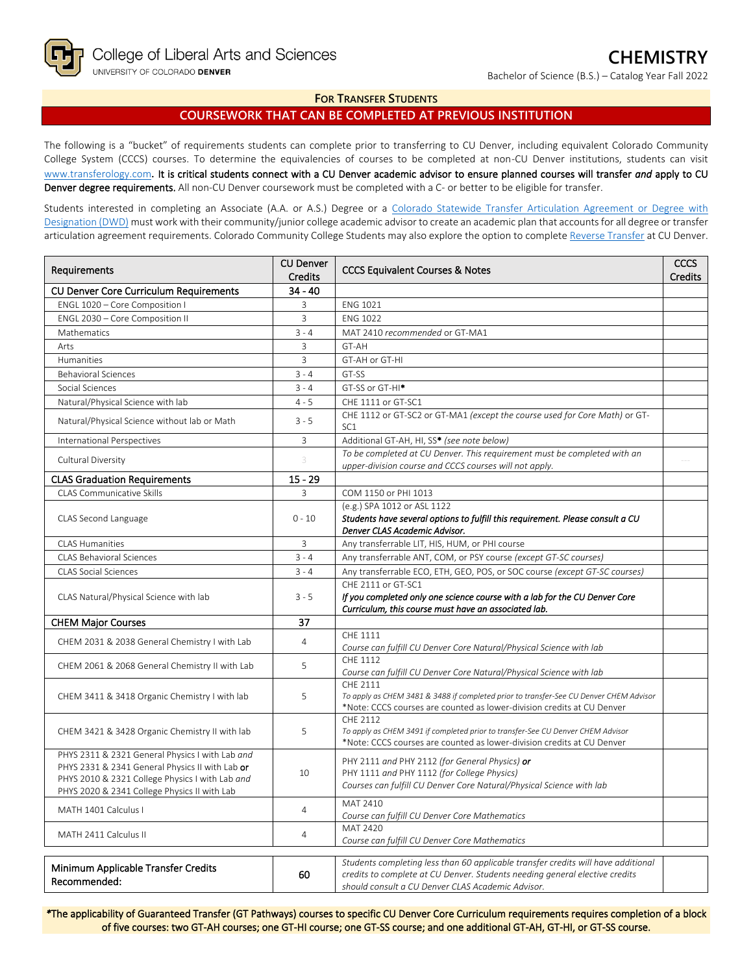Bachelor of Science (B.S.) – Catalog Year Fall 2022

#### **FOR TRANSFER STUDENTS**

## **COURSEWORK THAT CAN BE COMPLETED AT PREVIOUS INSTITUTION**

The following is a "bucket" of requirements students can complete prior to transferring to CU Denver, including equivalent Colorado Community College System (CCCS) courses. To determine the equivalencies of courses to be completed at non-CU Denver institutions, students can visit [www.transferology.com](http://www.transferology.com/)**.** It is critical students connect with a CU Denver academic advisor to ensure planned courses will transfer *and* apply to CU Denver degree requirements. All non-CU Denver coursework must be completed with a C- or better to be eligible for transfer.

Students interested in completing an Associate (A.A. or A.S.) Degree or a Colorado Statewide Transfer Articulation Agreement or Degree with [Designation \(DWD\)](https://highered.colorado.gov/transfer-degrees) must work with their community/junior college academic advisor to create an academic plan that accounts for all degree or transfer articulation agreement requirements. Colorado Community College Students may also explore the option to complet[e Reverse Transfer](https://highered.colorado.gov/students/attending-college/colorado-reverse-transfer) at CU Denver.

| Requirements                                                                                                                                                                                          | <b>CU Denver</b><br><b>Credits</b> | <b>CCCS Equivalent Courses &amp; Notes</b>                                                                                                                                                                            |  |
|-------------------------------------------------------------------------------------------------------------------------------------------------------------------------------------------------------|------------------------------------|-----------------------------------------------------------------------------------------------------------------------------------------------------------------------------------------------------------------------|--|
| <b>CU Denver Core Curriculum Requirements</b>                                                                                                                                                         | $34 - 40$                          |                                                                                                                                                                                                                       |  |
| ENGL 1020 - Core Composition I                                                                                                                                                                        | 3                                  | <b>ENG 1021</b>                                                                                                                                                                                                       |  |
| ENGL 2030 - Core Composition II                                                                                                                                                                       | 3                                  | <b>ENG 1022</b>                                                                                                                                                                                                       |  |
| Mathematics                                                                                                                                                                                           | $3 - 4$                            | MAT 2410 recommended or GT-MA1                                                                                                                                                                                        |  |
| Arts                                                                                                                                                                                                  | 3                                  | GT-AH                                                                                                                                                                                                                 |  |
| Humanities                                                                                                                                                                                            | 3                                  | GT-AH or GT-HI                                                                                                                                                                                                        |  |
| <b>Behavioral Sciences</b>                                                                                                                                                                            | $3 - 4$                            | GT-SS                                                                                                                                                                                                                 |  |
| Social Sciences                                                                                                                                                                                       | $3 - 4$                            | GT-SS or GT-HI <sup>*</sup>                                                                                                                                                                                           |  |
| Natural/Physical Science with lab                                                                                                                                                                     | $4 - 5$                            | CHE 1111 or GT-SC1                                                                                                                                                                                                    |  |
| Natural/Physical Science without lab or Math                                                                                                                                                          | $3 - 5$                            | CHE 1112 or GT-SC2 or GT-MA1 (except the course used for Core Math) or GT-<br>SC <sub>1</sub>                                                                                                                         |  |
| International Perspectives                                                                                                                                                                            | 3                                  | Additional GT-AH, HI, SS* (see note below)                                                                                                                                                                            |  |
| Cultural Diversity                                                                                                                                                                                    | 3                                  | To be completed at CU Denver. This requirement must be completed with an<br>upper-division course and CCCS courses will not apply.                                                                                    |  |
| <b>CLAS Graduation Requirements</b>                                                                                                                                                                   | $15 - 29$                          |                                                                                                                                                                                                                       |  |
| <b>CLAS Communicative Skills</b>                                                                                                                                                                      | 3                                  | COM 1150 or PHI 1013                                                                                                                                                                                                  |  |
| CLAS Second Language                                                                                                                                                                                  | $0 - 10$                           | (e.g.) SPA 1012 or ASL 1122<br>Students have several options to fulfill this requirement. Please consult a CU<br>Denver CLAS Academic Advisor.                                                                        |  |
| <b>CLAS Humanities</b>                                                                                                                                                                                | 3                                  | Any transferrable LIT, HIS, HUM, or PHI course                                                                                                                                                                        |  |
| <b>CLAS Behavioral Sciences</b>                                                                                                                                                                       | $3 - 4$                            | Any transferrable ANT, COM, or PSY course (except GT-SC courses)                                                                                                                                                      |  |
| <b>CLAS Social Sciences</b>                                                                                                                                                                           | $3 - 4$                            | Any transferrable ECO, ETH, GEO, POS, or SOC course (except GT-SC courses)                                                                                                                                            |  |
| CLAS Natural/Physical Science with lab                                                                                                                                                                | $3 - 5$                            | CHE 2111 or GT-SC1<br>If you completed only one science course with a lab for the CU Denver Core<br>Curriculum, this course must have an associated lab.                                                              |  |
| <b>CHEM Major Courses</b>                                                                                                                                                                             | 37                                 |                                                                                                                                                                                                                       |  |
| CHEM 2031 & 2038 General Chemistry I with Lab                                                                                                                                                         | $\overline{4}$                     | CHE 1111<br>Course can fulfill CU Denver Core Natural/Physical Science with lab                                                                                                                                       |  |
| CHEM 2061 & 2068 General Chemistry II with Lab                                                                                                                                                        | 5                                  | CHF 1112<br>Course can fulfill CU Denver Core Natural/Physical Science with lab                                                                                                                                       |  |
| CHEM 3411 & 3418 Organic Chemistry I with lab                                                                                                                                                         | 5                                  | CHF 2111<br>To apply as CHEM 3481 & 3488 if completed prior to transfer-See CU Denver CHEM Advisor<br>*Note: CCCS courses are counted as lower-division credits at CU Denver                                          |  |
| CHEM 3421 & 3428 Organic Chemistry II with lab                                                                                                                                                        | 5                                  | CHF 2112<br>To apply as CHEM 3491 if completed prior to transfer-See CU Denver CHEM Advisor<br>*Note: CCCS courses are counted as lower-division credits at CU Denver                                                 |  |
| PHYS 2311 & 2321 General Physics I with Lab and<br>PHYS 2331 & 2341 General Physics II with Lab or<br>PHYS 2010 & 2321 College Physics I with Lab and<br>PHYS 2020 & 2341 College Physics II with Lab | 10                                 | PHY 2111 and PHY 2112 (for General Physics) or<br>PHY 1111 and PHY 1112 (for College Physics)<br>Courses can fulfill CU Denver Core Natural/Physical Science with lab                                                 |  |
| MATH 1401 Calculus I                                                                                                                                                                                  | 4                                  | MAT 2410<br>Course can fulfill CU Denver Core Mathematics                                                                                                                                                             |  |
| MATH 2411 Calculus II                                                                                                                                                                                 | $\overline{4}$                     | <b>MAT 2420</b><br>Course can fulfill CU Denver Core Mathematics                                                                                                                                                      |  |
| Minimum Applicable Transfer Credits<br>Recommended:                                                                                                                                                   | 60                                 | Students completing less than 60 applicable transfer credits will have additional<br>credits to complete at CU Denver. Students needing general elective credits<br>should consult a CU Denver CLAS Academic Advisor. |  |

*\**The applicability of Guaranteed Transfer (GT Pathways) courses to specific CU Denver Core Curriculum requirements requires completion of a block of five courses: two GT-AH courses; one GT-HI course; one GT-SS course; and one additional GT-AH, GT-HI, or GT-SS course.